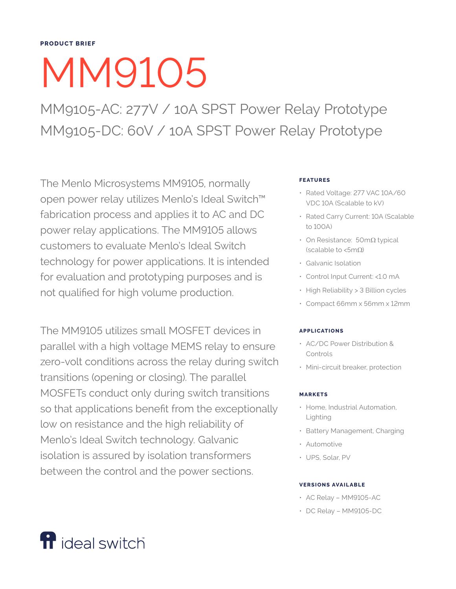# MM9105

MM9105-AC: 277V / 10A SPST Power Relay Prototype MM9105-DC: 60V / 10A SPST Power Relay Prototype

The Menlo Microsystems MM9105, normally open power relay utilizes Menlo's Ideal Switch™ fabrication process and applies it to AC and DC power relay applications. The MM9105 allows customers to evaluate Menlo's Ideal Switch technology for power applications. It is intended for evaluation and prototyping purposes and is not qualified for high volume production.

The MM9105 utilizes small MOSFET devices in parallel with a high voltage MEMS relay to ensure zero-volt conditions across the relay during switch transitions (opening or closing). The parallel MOSFETs conduct only during switch transitions so that applications benefit from the exceptionally low on resistance and the high reliability of Menlo's Ideal Switch technology. Galvanic isolation is assured by isolation transformers between the control and the power sections.

# **FEATURES**

- Rated Voltage: 277 VAC 10A/60 VDC 10A (Scalable to kV)
- Rated Carry Current: 10A (Scalable to 100A)
- On Resistance: 50mΩ typical (scalable to <5mΩ)
- Galvanic Isolation
- Control Input Current: <1.0 mA
- High Reliability > 3 Billion cycles
- Compact 66mm x 56mm x 12mm

# **APPLICATIONS**

- AC/DC Power Distribution & Controls
- Mini-circuit breaker, protection

### **MARKETS**

- Home, Industrial Automation, Lighting
- Battery Management, Charging
- Automotive
- UPS, Solar, PV

### **VERSIONS AVAILABLE**

- AC Relay MM9105-AC
- DC Relay MM9105-DC